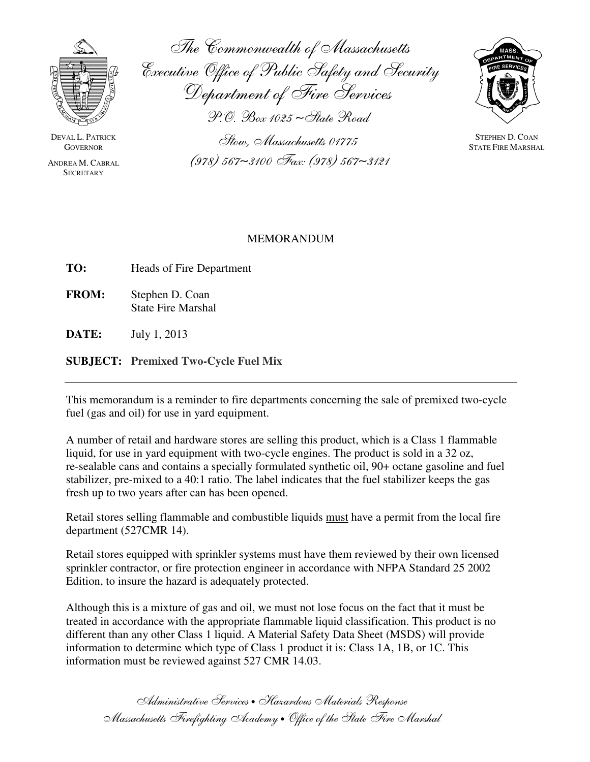

DEVAL L. PATRICK **GOVERNOR** 

ANDREA M. CABRAL **SECRETARY** 

The Commonwealth of Massachusetts Executive Office of Public Safety and Security Department of Fire Services P.O. Box 1025 ∼State Road

> Stow, Massachusetts 01775 (978) 567∼3100 Fax: (978) 567∼3121



STEPHEN D. COAN STATE FIRE MARSHAL

## MEMORANDUM

**TO:** Heads of Fire Department

**FROM:** Stephen D. Coan State Fire Marshal

**DATE:** July 1, 2013

**SUBJECT: Premixed Two-Cycle Fuel Mix**

This memorandum is a reminder to fire departments concerning the sale of premixed two-cycle fuel (gas and oil) for use in yard equipment.

A number of retail and hardware stores are selling this product, which is a Class 1 flammable liquid, for use in yard equipment with two-cycle engines. The product is sold in a 32 oz, re-sealable cans and contains a specially formulated synthetic oil, 90+ octane gasoline and fuel stabilizer, pre-mixed to a 40:1 ratio. The label indicates that the fuel stabilizer keeps the gas fresh up to two years after can has been opened.

Retail stores selling flammable and combustible liquids must have a permit from the local fire department (527CMR 14).

Retail stores equipped with sprinkler systems must have them reviewed by their own licensed sprinkler contractor, or fire protection engineer in accordance with NFPA Standard 25 2002 Edition, to insure the hazard is adequately protected.

Although this is a mixture of gas and oil, we must not lose focus on the fact that it must be treated in accordance with the appropriate flammable liquid classification. This product is no different than any other Class 1 liquid. A Material Safety Data Sheet (MSDS) will provide information to determine which type of Class 1 product it is: Class 1A, 1B, or 1C. This information must be reviewed against 527 CMR 14.03.

Administrative Services • Hazardous Materials Response Massachusetts Firefighting Academy • Office of the State Fire Marshal